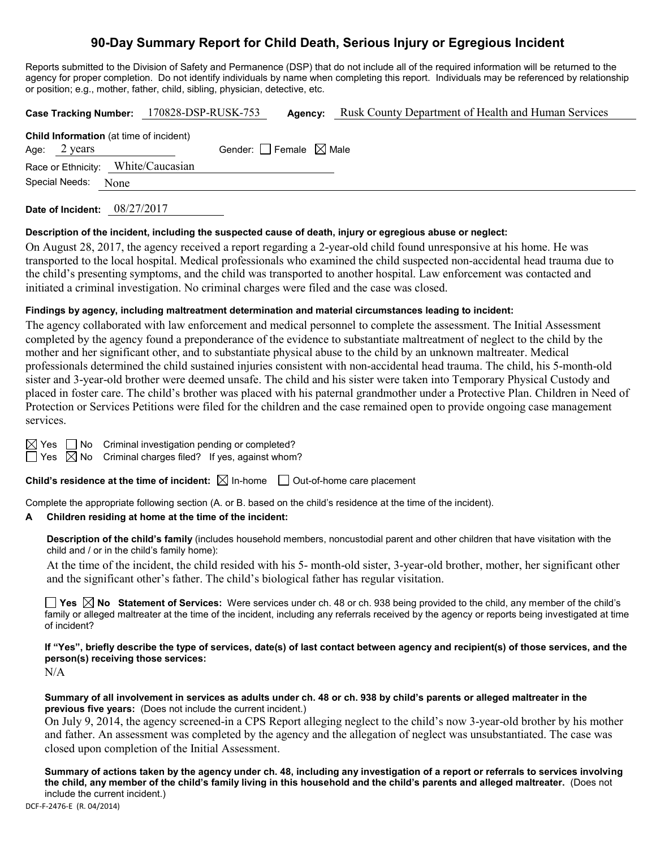# **90-Day Summary Report for Child Death, Serious Injury or Egregious Incident**

Reports submitted to the Division of Safety and Permanence (DSP) that do not include all of the required information will be returned to the agency for proper completion. Do not identify individuals by name when completing this report. Individuals may be referenced by relationship or position; e.g., mother, father, child, sibling, physician, detective, etc.

|                                                | Case Tracking Number: 170828-DSP-RUSK-753 | Agency: | Rusk County Department of Health and Human Services |
|------------------------------------------------|-------------------------------------------|---------|-----------------------------------------------------|
| <b>Child Information</b> (at time of incident) |                                           |         |                                                     |
| Age: $2 \text{ years}$                         | Gender: Female $\boxtimes$ Male           |         |                                                     |
| Race or Ethnicity: White/Caucasian             |                                           |         |                                                     |
| Special Needs:                                 | None                                      |         |                                                     |
|                                                |                                           |         |                                                     |

**Date of Incident:** 08/27/2017

### **Description of the incident, including the suspected cause of death, injury or egregious abuse or neglect:**

On August 28, 2017, the agency received a report regarding a 2-year-old child found unresponsive at his home. He was transported to the local hospital. Medical professionals who examined the child suspected non-accidental head trauma due to the child's presenting symptoms, and the child was transported to another hospital. Law enforcement was contacted and initiated a criminal investigation. No criminal charges were filed and the case was closed.

## **Findings by agency, including maltreatment determination and material circumstances leading to incident:**

The agency collaborated with law enforcement and medical personnel to complete the assessment. The Initial Assessment completed by the agency found a preponderance of the evidence to substantiate maltreatment of neglect to the child by the mother and her significant other, and to substantiate physical abuse to the child by an unknown maltreater. Medical professionals determined the child sustained injuries consistent with non-accidental head trauma. The child, his 5-month-old sister and 3-year-old brother were deemed unsafe. The child and his sister were taken into Temporary Physical Custody and placed in foster care. The child's brother was placed with his paternal grandmother under a Protective Plan. Children in Need of Protection or Services Petitions were filed for the children and the case remained open to provide ongoing case management services.

 $\boxtimes$  Yes  $\Box$  No Criminal investigation pending or completed?

 $\Box$  Yes  $\boxtimes$  No Criminal charges filed? If yes, against whom?

**Child's residence at the time of incident:**  $\boxtimes$  In-home  $\Box$  Out-of-home care placement

Complete the appropriate following section (A. or B. based on the child's residence at the time of the incident).

## **A Children residing at home at the time of the incident:**

**Description of the child's family** (includes household members, noncustodial parent and other children that have visitation with the child and / or in the child's family home):

At the time of the incident, the child resided with his 5- month-old sister, 3-year-old brother, mother, her significant other and the significant other's father. The child's biological father has regular visitation.

**Yes No Statement of Services:** Were services under ch. 48 or ch. 938 being provided to the child, any member of the child's family or alleged maltreater at the time of the incident, including any referrals received by the agency or reports being investigated at time of incident?

**If "Yes", briefly describe the type of services, date(s) of last contact between agency and recipient(s) of those services, and the person(s) receiving those services:**

N/A

**Summary of all involvement in services as adults under ch. 48 or ch. 938 by child's parents or alleged maltreater in the previous five years:** (Does not include the current incident.)

On July 9, 2014, the agency screened-in a CPS Report alleging neglect to the child's now 3-year-old brother by his mother and father. An assessment was completed by the agency and the allegation of neglect was unsubstantiated. The case was closed upon completion of the Initial Assessment.

**Summary of actions taken by the agency under ch. 48, including any investigation of a report or referrals to services involving the child, any member of the child's family living in this household and the child's parents and alleged maltreater.** (Does not include the current incident.)